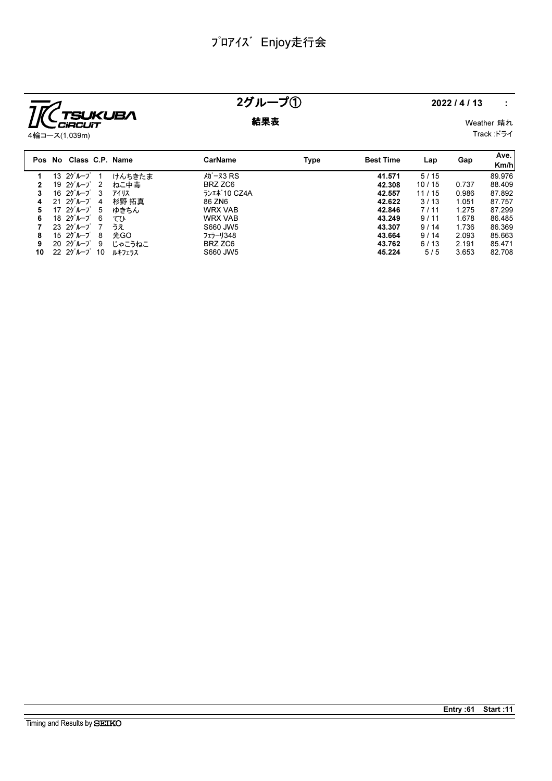

# $25\mu - 30$  2022/4/13 :

**結果表** Weather :晴れ Track :ドライ

|              | Pos No Class C.P. Name               |        | CarName          | Type | <b>Best Time</b> | Lap   | Gap   | Ave.<br>Km/h |
|--------------|--------------------------------------|--------|------------------|------|------------------|-------|-------|--------------|
|              | 13 $25 - 7$ 1                        | けんちきたま | <b>th -x3 RS</b> |      | 41.571           | 5/15  |       | 89.976       |
| $\mathbf{2}$ | 19 2ゲループ 2                           | ねこ中毒   | BRZ ZC6          |      | 42.308           | 10/15 | 0.737 | 88.409       |
| 3            | 16 $25^{\circ}$ $\mu$ $-7^{\circ}$ 3 | アイリス   | ランエポ 10 CZ4A     |      | 42.557           | 11/15 | 0.986 | 87.892       |
| 4            | $2120^{\circ}$ $\mu$ $ 7^{\circ}$ 4  | 杉野 拓真  | 86 ZN6           |      | 42.622           | 3/13  | 1.051 | 87.757       |
| 5            | 17 $25^{\circ}$ $\mu$ $-7^{\circ}$ 5 | ゆきちん   | <b>WRX VAB</b>   |      | 42.846           | 7/11  | 1.275 | 87.299       |
| 6            | 18 2グループ 6                           | てひ     | <b>WRX VAB</b>   |      | 43.249           | 9/11  | 1.678 | 86.485       |
| 7            | $2325\lambda - 727$                  | うえ     | S660 JW5         |      | 43.307           | 9/14  | 1.736 | 86.369       |
| 8            | 15 $25 - 7$ 8                        | 光GO    | フェラーリ348         |      | 43.664           | 9/14  | 2.093 | 85.663       |
| 9            | $2020^{\circ}$ $1000^{\circ}$ 9      | じゃこうねこ | BRZ ZC6          |      | 43.762           | 6/13  | 2.191 | 85.471       |
| 10           | $22 \t27''$ $\nu - 7' \t10$          | ルキフェラス | S660 JW5         |      | 45.224           | 5/5   | 3.653 | 82.708       |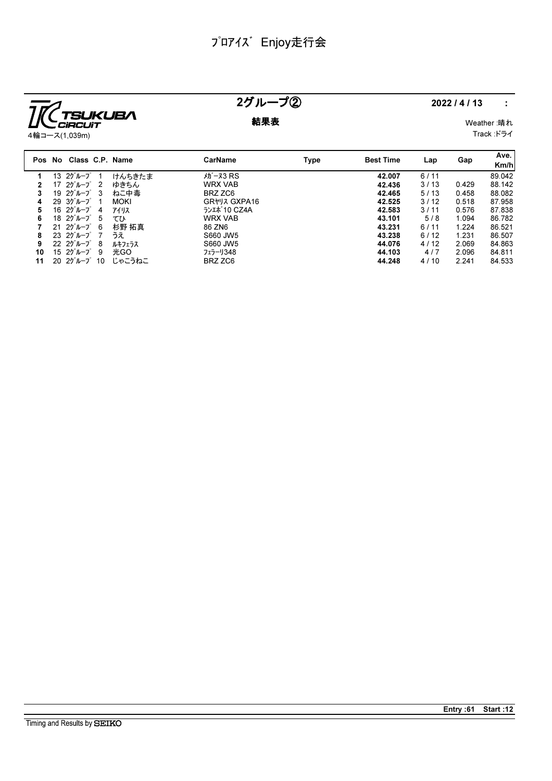

## 2グループ② 2022/4/13 :

**結果表** Weather :晴れ Track :ドライ

|    | Pos No Class C.P. Name                       |             | CarName        | Type | <b>Best Time</b> | Lap  | Gap   | Ave.<br>Km/h |
|----|----------------------------------------------|-------------|----------------|------|------------------|------|-------|--------------|
|    | $1320^{\circ}$ $\mu$ - $7^{\circ}$ 1         | けんちきたま      | $\tan 73$ RS   |      | 42.007           | 6/11 |       | 89.042       |
|    | 17 $25^{\circ}$ $\mu$ $-7^{\circ}$ 2         | ゆきちん        | <b>WRX VAB</b> |      | 42.436           | 3/13 | 0.429 | 88.142       |
| 3  | 19 $25 - 7$ 3                                | ねこ中毒        | BRZ ZC6        |      | 42.465           | 5/13 | 0.458 | 88.082       |
| 4  | $29.30 \nu - 7$<br>- 1                       | <b>MOKI</b> | GR*VA GXPA16   |      | 42.525           | 3/12 | 0.518 | 87.958       |
| 5  | $1620^{\circ}$ $1620^{\circ}$<br>4           | アイリス        | ランエポ 10 CZ4A   |      | 42.583           | 3/11 | 0.576 | 87.838       |
| 6  | 18 $25 - 7$ 5                                | てひ          | <b>WRX VAB</b> |      | 43.101           | 5/8  | 1.094 | 86.782       |
|    | $2125$ <sup><math>1</math></sup>             | 杉野 拓真       | 86 ZN6         |      | 43.231           | 6/11 | 1.224 | 86.521       |
| 8  | $2325\,\nu-\nu$ 7                            | うえ          | S660 JW5       |      | 43.238           | 6/12 | 1.231 | 86.507       |
| 9  | $22 \t20^{\circ} \nu - 7^{\circ} 8$          | ルキフェラス      | S660 JW5       |      | 44.076           | 4/12 | 2.069 | 84.863       |
| 10 | $1520^{\circ}$ $1520^{\circ}$ $1520^{\circ}$ | 光GO         | フェラーリ348       |      | 44.103           | 4/7  | 2.096 | 84.811       |
| 11 | $2025$ $\mu$ - $721$                         | じゃこうねこ      | BRZ ZC6        |      | 44.248           | 4/10 | 2.241 | 84.533       |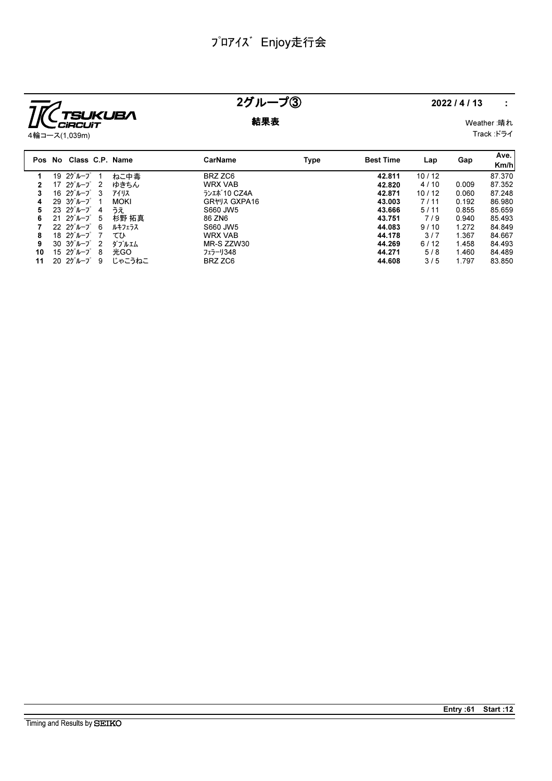

## 2グループ③ 2022/4/13 :

**結果表** Weather :晴れ Track :ドライ

|    | Pos No Class C.P. Name                |                |             | <b>CarName</b> | Type | <b>Best Time</b> | Lap   | Gap   | Ave.<br>Km/h |
|----|---------------------------------------|----------------|-------------|----------------|------|------------------|-------|-------|--------------|
|    | 19 2ゲループ                              |                | ねこ中毒        | BRZ ZC6        |      | 42.811           | 10/12 |       | 87.370       |
|    | 17 2グループ                              | $\overline{2}$ | ゆきちん        | <b>WRX VAB</b> |      | 42.820           | 4/10  | 0.009 | 87.352       |
| 3  | 16 $25^{\circ}$ $\mu$ - $7^{\circ}$ 3 |                | アイリス        | ランエポ 10 CZ4A   |      | 42.871           | 10/12 | 0.060 | 87.248       |
| 4  | $29.30 \nu - 7$                       |                | <b>MOKI</b> | GR*J3 GXPA16   |      | 43.003           | 7/11  | 0.192 | 86.980       |
| 5  | $2325\lambda - 7$                     | -4             | うえ          | S660 JW5       |      | 43.666           | 5/11  | 0.855 | 85.659       |
| 6  | $2125$ $\n  20$ $\n  10$              |                | 杉野 拓真       | 86 ZN6         |      | 43.751           | 7/9   | 0.940 | 85.493       |
|    | $22 \t20^{\circ}$ $\nu - 7^{\circ}$ 6 |                | ルキフェラス      | S660 JW5       |      | 44.083           | 9/10  | 1.272 | 84.849       |
| 8  | 18 $25^{\circ}$ $\sim$ $-7^{\circ}$   |                | てひ          | <b>WRX VAB</b> |      | 44.178           | 3/7   | 1.367 | 84.667       |
| 9  | 30.30 <sup>2</sup>                    | $\overline{2}$ | ダブルエム       | MR-S ZZW30     |      | 44.269           | 6/12  | 1.458 | 84.493       |
| 10 | $1520^{\circ}$ $1520^{\circ}$         | - 8            | 光GO         | フェラーリ348       |      | 44.271           | 5/8   | 1.460 | 84.489       |
| 11 | $2025$ $\mu$ - $7^{\circ}$            | -9             | じゃこうねこ      | BRZ ZC6        |      | 44.608           | 3/5   | 1.797 | 83.850       |

Entry :61 Start :12